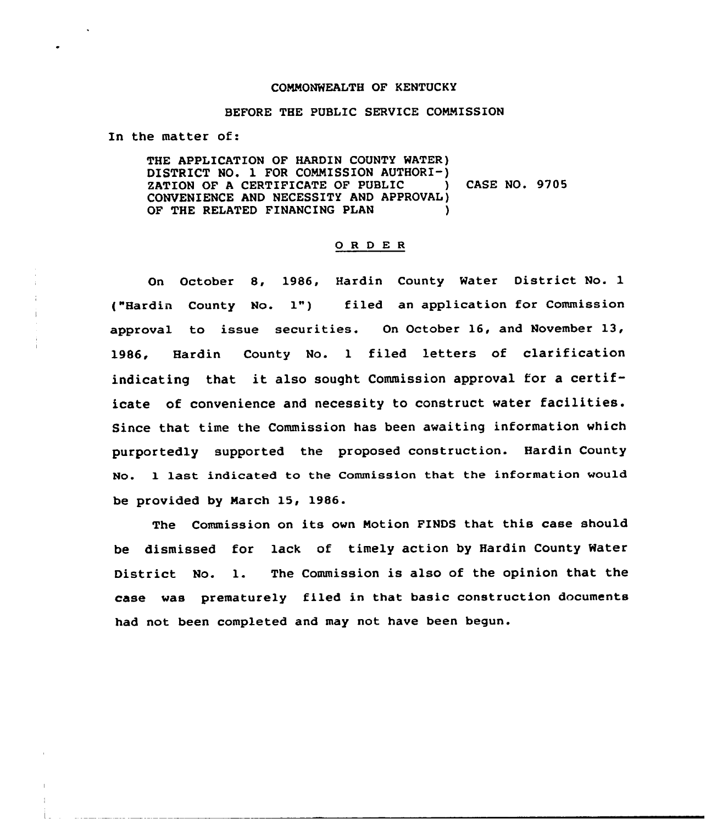## COMMONWEALTH OF KENTUCKY

## BEFORE THE PUBLIC SERVICE COMMISSION

In the matter of:

THE APPLICATION OF HARDIN COUNTY WATER) DISTRICT NO. 1 FOR COMMISSION AUTHORI-)<br>ZATION OF A CERTIFICATE OF PUBLIC (ASE NO. 9705 ZATION OF A CERTIFICATE OF PUBLIC CONVENIENCE AND NECESSITY AND APPROVAL) OF THE RELATED FINANCING PLAN

## 0 <sup>R</sup> <sup>D</sup> E <sup>R</sup>

On October 8, 1986, Hardin County Water District No. 1 ("Hardin County No. 1") filed an application for Commission approval to issue securities. On October 16, and November 13, 1986, Hardin County No. <sup>1</sup> filed letters of clarification indicating that it also sought Commission approval for <sup>a</sup> certificate of convenience and necessity to construct water facilities. Since that time the Commission has been awaiting information which purportedly supported the proposed construction. Hardin County No. l last indicated to the Commission that the information would be provided by March 15, 1986.

The Commission on its own Notion FINDS that this case should be dismissed for lack of timely action by Hardin County Water District No. 1. The Commission is also of the opinion that the case was prematurely filed in that basic construction documents had not been completed and may not have been begun.